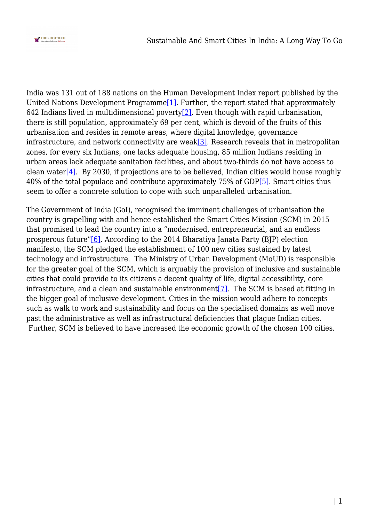

India was 131 out of 188 nations on the Human Development Index report published by the United Nations Development Programm[e\[1\]](#page--1-0). Further, the report stated that approximately 642 Indians lived in multidimensional poverty<sup>[\[2\]](#page--1-0)</sup>. Even though with rapid urbanisation, there is still population, approximately 69 per cent, which is devoid of the fruits of this urbanisation and resides in remote areas, where digital knowledge, governance infrastructure, and network connectivity are weak $[3]$ . Research reveals that in metropolitan zones, for every six Indians, one lacks adequate housing, 85 million Indians residing in urban areas lack adequate sanitation facilities, and about two-thirds do not have access to clean water<sup>[\[4\]](#page--1-0)</sup>. By 2030, if projections are to be believed, Indian cities would house roughly 40% of the total populace and contribute approximately 75% of GD[P\[5\].](#page--1-0) Smart cities thus seem to offer a concrete solution to cope with such unparalleled urbanisation.

The Government of India (GoI), recognised the imminent challenges of urbanisation the country is grapelling with and hence established the Smart Cities Mission (SCM) in 2015 that promised to lead the country into a "modernised, entrepreneurial, and an endless prosperous future"[\[6\]](#page--1-0). According to the 2014 Bharatiya Janata Party (BJP) election manifesto, the SCM pledged the establishment of 100 new cities sustained by latest technology and infrastructure. The Ministry of Urban Development (MoUD) is responsible for the greater goal of the SCM, which is arguably the provision of inclusive and sustainable cities that could provide to its citizens a decent quality of life, digital accessibility, core infrastructure, and a clean and sustainable environment<sup>[7]</sup>. The SCM is based at fitting in the bigger goal of inclusive development. Cities in the mission would adhere to concepts such as walk to work and sustainability and focus on the specialised domains as well move past the administrative as well as infrastructural deficiencies that plague Indian cities. Further, SCM is believed to have increased the economic growth of the chosen 100 cities.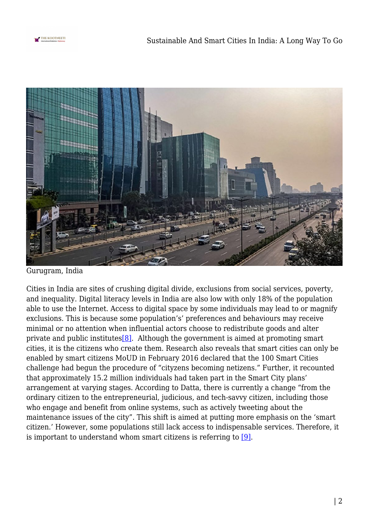



Gurugram, India

Cities in India are sites of crushing digital divide, exclusions from social services, poverty, and inequality. Digital literacy levels in India are also low with only 18% of the population able to use the Internet. Access to digital space by some individuals may lead to or magnify exclusions. This is because some population's' preferences and behaviours may receive minimal or no attention when influential actors choose to redistribute goods and alter private and public institutes  $[8]$ . Although the government is aimed at promoting smart cities, it is the citizens who create them. Research also reveals that smart cities can only be enabled by smart citizens MoUD in February 2016 declared that the 100 Smart Cities challenge had begun the procedure of "cityzens becoming netizens." Further, it recounted that approximately 15.2 million individuals had taken part in the Smart City plans' arrangement at varying stages. According to Datta, there is currently a change "from the ordinary citizen to the entrepreneurial, judicious, and tech-savvy citizen, including those who engage and benefit from online systems, such as actively tweeting about the maintenance issues of the city". This shift is aimed at putting more emphasis on the 'smart citizen.' However, some populations still lack access to indispensable services. Therefore, it is important to understand whom smart citizens is referring to [\[9\].](#page--1-0)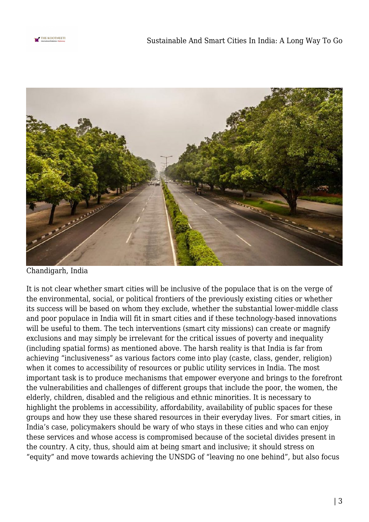



Chandigarh, India

It is not clear whether smart cities will be inclusive of the populace that is on the verge of the environmental, social, or political frontiers of the previously existing cities or whether its success will be based on whom they exclude, whether the substantial lower-middle class and poor populace in India will fit in smart cities and if these technology-based innovations will be useful to them. The tech interventions (smart city missions) can create or magnify exclusions and may simply be irrelevant for the critical issues of poverty and inequality (including spatial forms) as mentioned above. The harsh reality is that India is far from achieving "inclusiveness" as various factors come into play (caste, class, gender, religion) when it comes to accessibility of resources or public utility services in India. The most important task is to produce mechanisms that empower everyone and brings to the forefront the vulnerabilities and challenges of different groups that include the poor, the women, the elderly, children, disabled and the religious and ethnic minorities. It is necessary to highlight the problems in accessibility, affordability, availability of public spaces for these groups and how they use these shared resources in their everyday lives. For smart cities, in India's case, policymakers should be wary of who stays in these cities and who can enjoy these services and whose access is compromised because of the societal divides present in the country. A city, thus, should aim at being smart and inclusive; it should stress on "equity" and move towards achieving the UNSDG of "leaving no one behind", but also focus